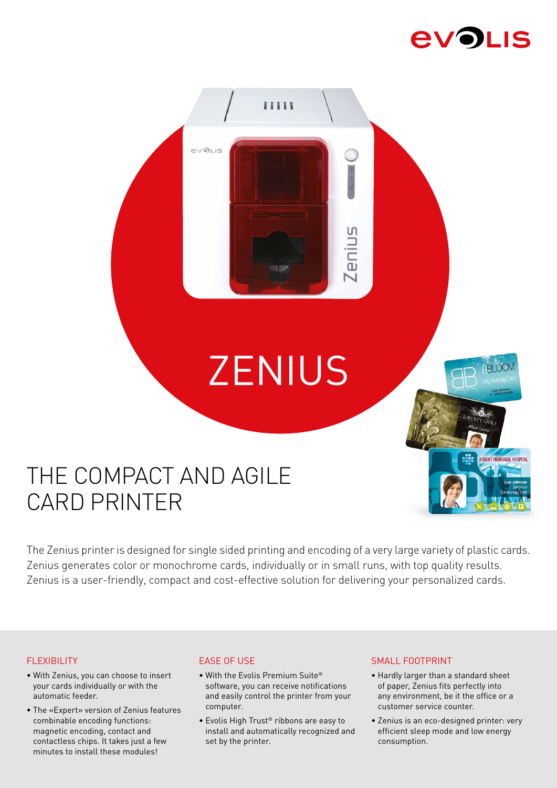# **EVOLIS**



## THE COMPACT AND AGILE CARD PRINTER

The Zenius printer is designed for single sided printing and encoding of a very large variety of plastic cards. Zenius generates color or monochrome cards, individually or in small runs, with top quality results. Zenius is a user-friendly, compact and cost-effective solution for delivering your personalized cards.

### FLEXIBILITY

- With Zenius, you can choose to insert your cards individually or with the automatic feeder.
- The «Expert» version of Zenius features combinable encoding functions: magnetic encoding, contact and contactless chips. It takes just a few minutes to install these modules!

### EASE OF USE

- With the Evolis Premium Suite® software, you can receive notifications and easily control the printer from your computer.
- Evolis High Trust® ribbons are easy to install and automatically recognized and set by the printer.

#### SMALL FOOTPRINT

- Hardly larger than a standard sheet of paper, Zenius fits perfectly into any environment, be it the office or a customer service counter.
- Zenius is an eco-designed printer: very efficient sleep mode and low energy consumption.